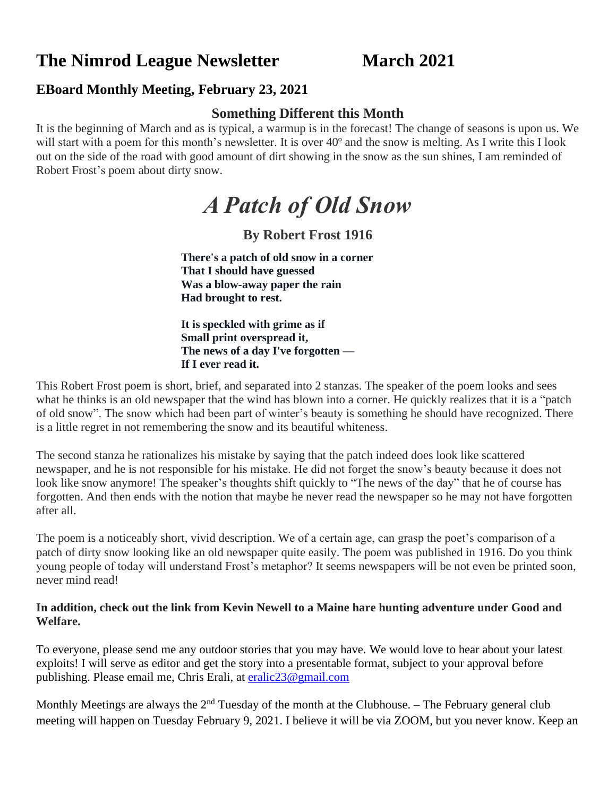# **The Nimrod League Newsletter March 2021**

### **EBoard Monthly Meeting, February 23, 2021**

#### **Something Different this Month**

It is the beginning of March and as is typical, a warmup is in the forecast! The change of seasons is upon us. We will start with a poem for this month's newsletter. It is over 40<sup>°</sup> and the snow is melting. As I write this I look out on the side of the road with good amount of dirt showing in the snow as the sun shines, I am reminded of Robert Frost's poem about dirty snow.

# *A Patch of Old Snow*

# **By Robert Frost 1916**

**There's a patch of old snow in a corner That I should have guessed Was a blow-away paper the rain Had brought to rest.**

**It is speckled with grime as if Small print overspread it, The news of a day I've forgotten — If I ever read it.**

This Robert Frost poem is short, brief, and separated into 2 stanzas. The speaker of the poem looks and sees what he thinks is an old newspaper that the wind has blown into a corner. He quickly realizes that it is a "patch of old snow". The snow which had been part of winter's beauty is something he should have recognized. There is a little regret in not remembering the snow and its beautiful whiteness.

The second stanza he rationalizes his mistake by saying that the patch indeed does look like scattered newspaper, and he is not responsible for his mistake. He did not forget the snow's beauty because it does not look like snow anymore! The speaker's thoughts shift quickly to "The news of the day" that he of course has forgotten. And then ends with the notion that maybe he never read the newspaper so he may not have forgotten after all.

The poem is a noticeably short, vivid description. We of a certain age, can grasp the poet's comparison of a patch of dirty snow looking like an old newspaper quite easily. The poem was published in 1916. Do you think young people of today will understand Frost's metaphor? It seems newspapers will be not even be printed soon, never mind read!

#### **In addition, check out the link from Kevin Newell to a Maine hare hunting adventure under Good and Welfare.**

To everyone, please send me any outdoor stories that you may have. We would love to hear about your latest exploits! I will serve as editor and get the story into a presentable format, subject to your approval before publishing. Please email me, Chris Erali, at [eralic23@gmail.com](mailto:eralic23@gmail.com)

Monthly Meetings are always the  $2<sup>nd</sup>$  Tuesday of the month at the Clubhouse. – The February general club meeting will happen on Tuesday February 9, 2021. I believe it will be via ZOOM, but you never know. Keep an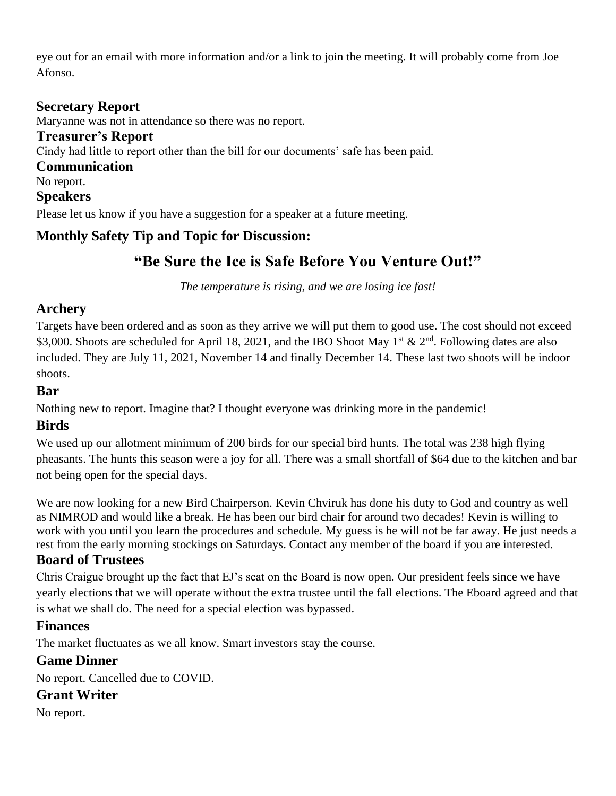eye out for an email with more information and/or a link to join the meeting. It will probably come from Joe Afonso.

#### **Secretary Report**

Maryanne was not in attendance so there was no report.

**Treasurer's Report**

Cindy had little to report other than the bill for our documents' safe has been paid.

**Communication**

No report.

#### **Speakers**

Please let us know if you have a suggestion for a speaker at a future meeting.

#### **Monthly Safety Tip and Topic for Discussion:**

# **"Be Sure the Ice is Safe Before You Venture Out!"**

*The temperature is rising, and we are losing ice fast!* 

#### **Archery**

Targets have been ordered and as soon as they arrive we will put them to good use. The cost should not exceed \$3,000. Shoots are scheduled for April 18, 2021, and the IBO Shoot May 1<sup>st</sup> & 2<sup>nd</sup>. Following dates are also included. They are July 11, 2021, November 14 and finally December 14. These last two shoots will be indoor shoots.

#### **Bar**

Nothing new to report. Imagine that? I thought everyone was drinking more in the pandemic!

#### **Birds**

We used up our allotment minimum of 200 birds for our special bird hunts. The total was 238 high flying pheasants. The hunts this season were a joy for all. There was a small shortfall of \$64 due to the kitchen and bar not being open for the special days.

We are now looking for a new Bird Chairperson. Kevin Chviruk has done his duty to God and country as well as NIMROD and would like a break. He has been our bird chair for around two decades! Kevin is willing to work with you until you learn the procedures and schedule. My guess is he will not be far away. He just needs a rest from the early morning stockings on Saturdays. Contact any member of the board if you are interested.

#### **Board of Trustees**

Chris Craigue brought up the fact that EJ's seat on the Board is now open. Our president feels since we have yearly elections that we will operate without the extra trustee until the fall elections. The Eboard agreed and that is what we shall do. The need for a special election was bypassed.

#### **Finances**

The market fluctuates as we all know. Smart investors stay the course.

#### **Game Dinner**

No report. Cancelled due to COVID.

#### **Grant Writer**

No report.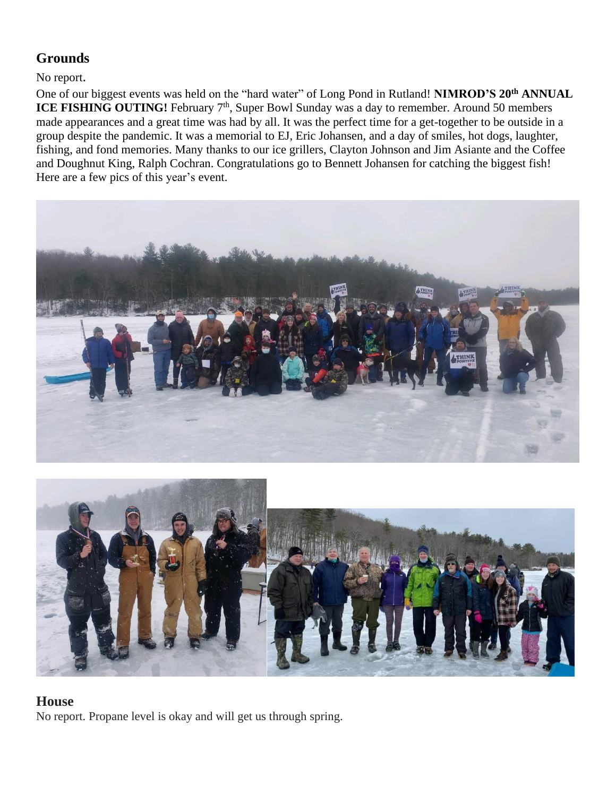# **Grounds**

No report.

One of our biggest events was held on the "hard water" of Long Pond in Rutland! **NIMROD'S 20th ANNUAL ICE FISHING OUTING!** February 7<sup>th</sup>, Super Bowl Sunday was a day to remember. Around 50 members made appearances and a great time was had by all. It was the perfect time for a get-together to be outside in a group despite the pandemic. It was a memorial to EJ, Eric Johansen, and a day of smiles, hot dogs, laughter, fishing, and fond memories. Many thanks to our ice grillers, Clayton Johnson and Jim Asiante and the Coffee and Doughnut King, Ralph Cochran. Congratulations go to Bennett Johansen for catching the biggest fish! Here are a few pics of this year's event.





#### **House**

No report. Propane level is okay and will get us through spring.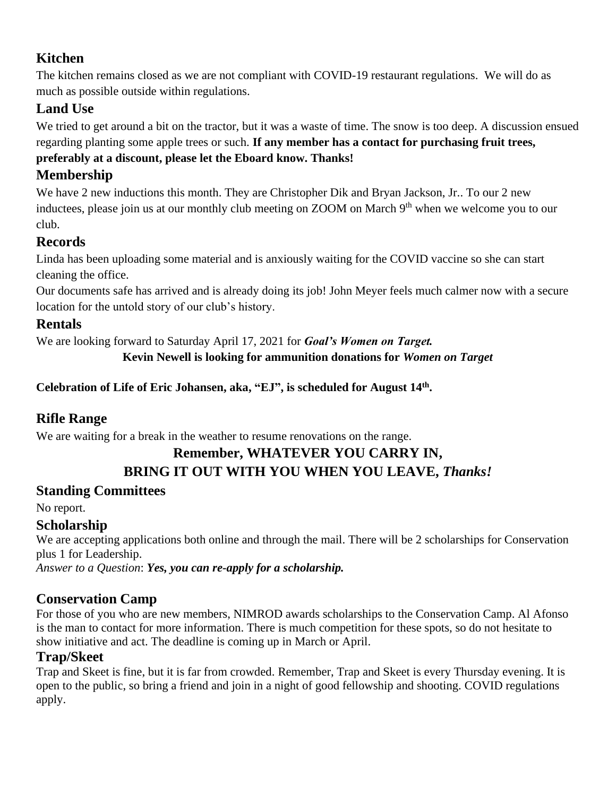# **Kitchen**

The kitchen remains closed as we are not compliant with COVID-19 restaurant regulations. We will do as much as possible outside within regulations.

# **Land Use**

We tried to get around a bit on the tractor, but it was a waste of time. The snow is too deep. A discussion ensued regarding planting some apple trees or such. **If any member has a contact for purchasing fruit trees, preferably at a discount, please let the Eboard know. Thanks!**

# **Membership**

We have 2 new inductions this month. They are Christopher Dik and Bryan Jackson, Jr.. To our 2 new inductees, please join us at our monthly club meeting on ZOOM on March 9<sup>th</sup> when we welcome you to our club.

# **Records**

Linda has been uploading some material and is anxiously waiting for the COVID vaccine so she can start cleaning the office.

Our documents safe has arrived and is already doing its job! John Meyer feels much calmer now with a secure location for the untold story of our club's history.

# **Rentals**

We are looking forward to Saturday April 17, 2021 for *Goal's Women on Target.*

**Kevin Newell is looking for ammunition donations for** *Women on Target*

**Celebration of Life of Eric Johansen, aka, "EJ", is scheduled for August 14th .** 

# **Rifle Range**

We are waiting for a break in the weather to resume renovations on the range.

#### **Remember, WHATEVER YOU CARRY IN, BRING IT OUT WITH YOU WHEN YOU LEAVE,** *Thanks!*

# **Standing Committees**

No report.

# **Scholarship**

We are accepting applications both online and through the mail. There will be 2 scholarships for Conservation plus 1 for Leadership.

*Answer to a Question*: *Yes, you can re-apply for a scholarship.*

# **Conservation Camp**

For those of you who are new members, NIMROD awards scholarships to the Conservation Camp. Al Afonso is the man to contact for more information. There is much competition for these spots, so do not hesitate to show initiative and act. The deadline is coming up in March or April.

# **Trap/Skeet**

Trap and Skeet is fine, but it is far from crowded. Remember, Trap and Skeet is every Thursday evening. It is open to the public, so bring a friend and join in a night of good fellowship and shooting. COVID regulations apply.